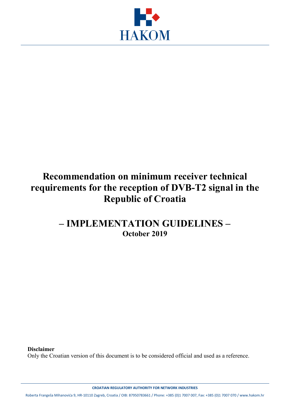

# **Recommendation on minimum receiver technical requirements for the reception of DVB-T2 signal in the Republic of Croatia**

## **– IMPLEMENTATION GUIDELINES – October 2019**

**Disclaimer**

Only the Croatian version of this document is to be considered official and used as a reference.

**CROATIAN REGULATORY AUTHORITY FOR NETWORK INDUSTRIES**

Roberta Frangeša Mihanovića 9, HR-10110 Zagreb, Croatia / OIB: 87950783661 / Phone: +385 (0)1 7007 007, Fax: +385 (0)1 7007 070 / www.hakom.hr